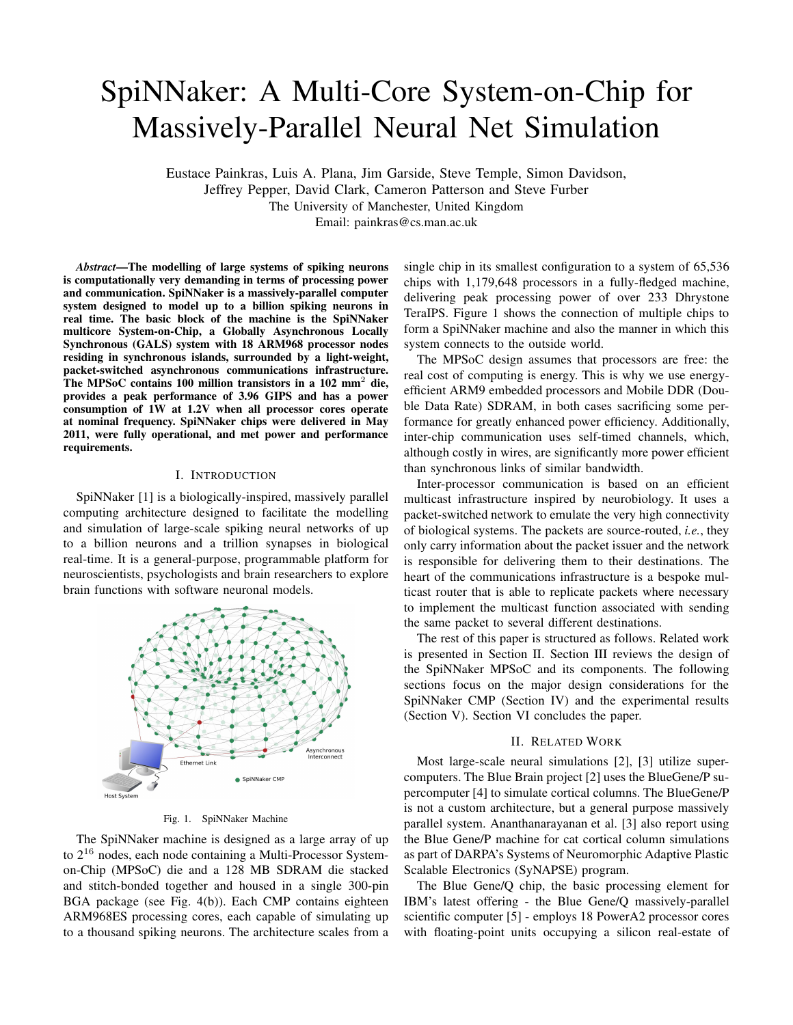# SpiNNaker: A Multi-Core System-on-Chip for Massively-Parallel Neural Net Simulation

Eustace Painkras, Luis A. Plana, Jim Garside, Steve Temple, Simon Davidson, Jeffrey Pepper, David Clark, Cameron Patterson and Steve Furber The University of Manchester, United Kingdom Email: painkras@cs.man.ac.uk

*Abstract***—The modelling of large systems of spiking neurons is computationally very demanding in terms of processing power and communication. SpiNNaker is a massively-parallel computer system designed to model up to a billion spiking neurons in real time. The basic block of the machine is the SpiNNaker multicore System-on-Chip, a Globally Asynchronous Locally Synchronous (GALS) system with 18 ARM968 processor nodes residing in synchronous islands, surrounded by a light-weight, packet-switched asynchronous communications infrastructure. The MPSoC contains 100 million transistors in a 102 mm**<sup>2</sup> **die, provides a peak performance of 3.96 GIPS and has a power consumption of 1W at 1.2V when all processor cores operate at nominal frequency. SpiNNaker chips were delivered in May 2011, were fully operational, and met power and performance requirements.**

# I. INTRODUCTION

SpiNNaker [1] is a biologically-inspired, massively parallel computing architecture designed to facilitate the modelling and simulation of large-scale spiking neural networks of up to a billion neurons and a trillion synapses in biological real-time. It is a general-purpose, programmable platform for neuroscientists, psychologists and brain researchers to explore brain functions with software neuronal models.



Fig. 1. SpiNNaker Machine

The SpiNNaker machine is designed as a large array of up to 2<sup>16</sup> nodes, each node containing a Multi-Processor Systemon-Chip (MPSoC) die and a 128 MB SDRAM die stacked and stitch-bonded together and housed in a single 300-pin BGA package (see Fig. 4(b)). Each CMP contains eighteen ARM968ES processing cores, each capable of simulating up to a thousand spiking neurons. The architecture scales from a

single chip in its smallest configuration to a system of 65,536 chips with 1,179,648 processors in a fully-fledged machine, delivering peak processing power of over 233 Dhrystone TeraIPS. Figure 1 shows the connection of multiple chips to form a SpiNNaker machine and also the manner in which this system connects to the outside world.

The MPSoC design assumes that processors are free: the real cost of computing is energy. This is why we use energyefficient ARM9 embedded processors and Mobile DDR (Double Data Rate) SDRAM, in both cases sacrificing some performance for greatly enhanced power efficiency. Additionally, inter-chip communication uses self-timed channels, which, although costly in wires, are significantly more power efficient than synchronous links of similar bandwidth.

Inter-processor communication is based on an efficient multicast infrastructure inspired by neurobiology. It uses a packet-switched network to emulate the very high connectivity of biological systems. The packets are source-routed, *i.e.*, they only carry information about the packet issuer and the network is responsible for delivering them to their destinations. The heart of the communications infrastructure is a bespoke multicast router that is able to replicate packets where necessary to implement the multicast function associated with sending the same packet to several different destinations.

The rest of this paper is structured as follows. Related work is presented in Section II. Section III reviews the design of the SpiNNaker MPSoC and its components. The following sections focus on the major design considerations for the SpiNNaker CMP (Section IV) and the experimental results (Section V). Section VI concludes the paper.

#### II. RELATED WORK

Most large-scale neural simulations [2], [3] utilize supercomputers. The Blue Brain project [2] uses the BlueGene/P supercomputer [4] to simulate cortical columns. The BlueGene/P is not a custom architecture, but a general purpose massively parallel system. Ananthanarayanan et al. [3] also report using the Blue Gene/P machine for cat cortical column simulations as part of DARPA's Systems of Neuromorphic Adaptive Plastic Scalable Electronics (SyNAPSE) program.

The Blue Gene/Q chip, the basic processing element for IBM's latest offering - the Blue Gene/Q massively-parallel scientific computer [5] - employs 18 PowerA2 processor cores with floating-point units occupying a silicon real-estate of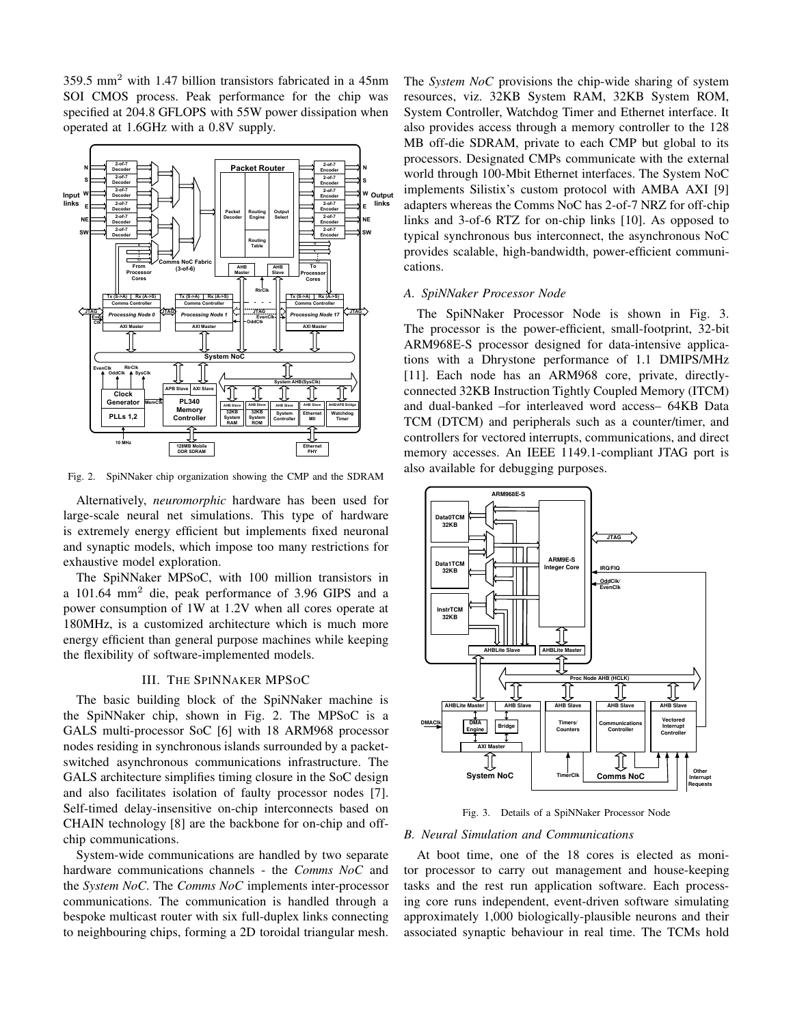359.5 mm<sup>2</sup> with 1.47 billion transistors fabricated in a 45nm SOI CMOS process. Peak performance for the chip was specified at 204.8 GFLOPS with 55W power dissipation when operated at 1.6GHz with a 0.8V supply.



Fig. 2. SpiNNaker chip organization showing the CMP and the SDRAM

Alternatively, *neuromorphic* hardware has been used for large-scale neural net simulations. This type of hardware is extremely energy efficient but implements fixed neuronal and synaptic models, which impose too many restrictions for exhaustive model exploration.

The SpiNNaker MPSoC, with 100 million transistors in a 101.64 mm<sup>2</sup> die, peak performance of 3.96 GIPS and a power consumption of 1W at 1.2V when all cores operate at 180MHz, is a customized architecture which is much more energy efficient than general purpose machines while keeping the flexibility of software-implemented models.

# III. THE SPINNAKER MPSOC

The basic building block of the SpiNNaker machine is the SpiNNaker chip, shown in Fig. 2. The MPSoC is a GALS multi-processor SoC [6] with 18 ARM968 processor nodes residing in synchronous islands surrounded by a packetswitched asynchronous communications infrastructure. The GALS architecture simplifies timing closure in the SoC design and also facilitates isolation of faulty processor nodes [7]. Self-timed delay-insensitive on-chip interconnects based on CHAIN technology [8] are the backbone for on-chip and offchip communications.

System-wide communications are handled by two separate hardware communications channels - the *Comms NoC* and the *System NoC*. The *Comms NoC* implements inter-processor communications. The communication is handled through a bespoke multicast router with six full-duplex links connecting to neighbouring chips, forming a 2D toroidal triangular mesh.

The *System NoC* provisions the chip-wide sharing of system resources, viz. 32KB System RAM, 32KB System ROM, System Controller, Watchdog Timer and Ethernet interface. It also provides access through a memory controller to the 128 MB off-die SDRAM, private to each CMP but global to its processors. Designated CMPs communicate with the external world through 100-Mbit Ethernet interfaces. The System NoC implements Silistix's custom protocol with AMBA AXI [9] adapters whereas the Comms NoC has 2-of-7 NRZ for off-chip links and 3-of-6 RTZ for on-chip links [10]. As opposed to typical synchronous bus interconnect, the asynchronous NoC provides scalable, high-bandwidth, power-efficient communications.

## *A. SpiNNaker Processor Node*

The SpiNNaker Processor Node is shown in Fig. 3. The processor is the power-efficient, small-footprint, 32-bit ARM968E-S processor designed for data-intensive applications with a Dhrystone performance of 1.1 DMIPS/MHz [11]. Each node has an ARM968 core, private, directlyconnected 32KB Instruction Tightly Coupled Memory (ITCM) and dual-banked –for interleaved word access– 64KB Data TCM (DTCM) and peripherals such as a counter/timer, and controllers for vectored interrupts, communications, and direct memory accesses. An IEEE 1149.1-compliant JTAG port is also available for debugging purposes.



Fig. 3. Details of a SpiNNaker Processor Node

# *B. Neural Simulation and Communications*

At boot time, one of the 18 cores is elected as monitor processor to carry out management and house-keeping tasks and the rest run application software. Each processing core runs independent, event-driven software simulating approximately 1,000 biologically-plausible neurons and their associated synaptic behaviour in real time. The TCMs hold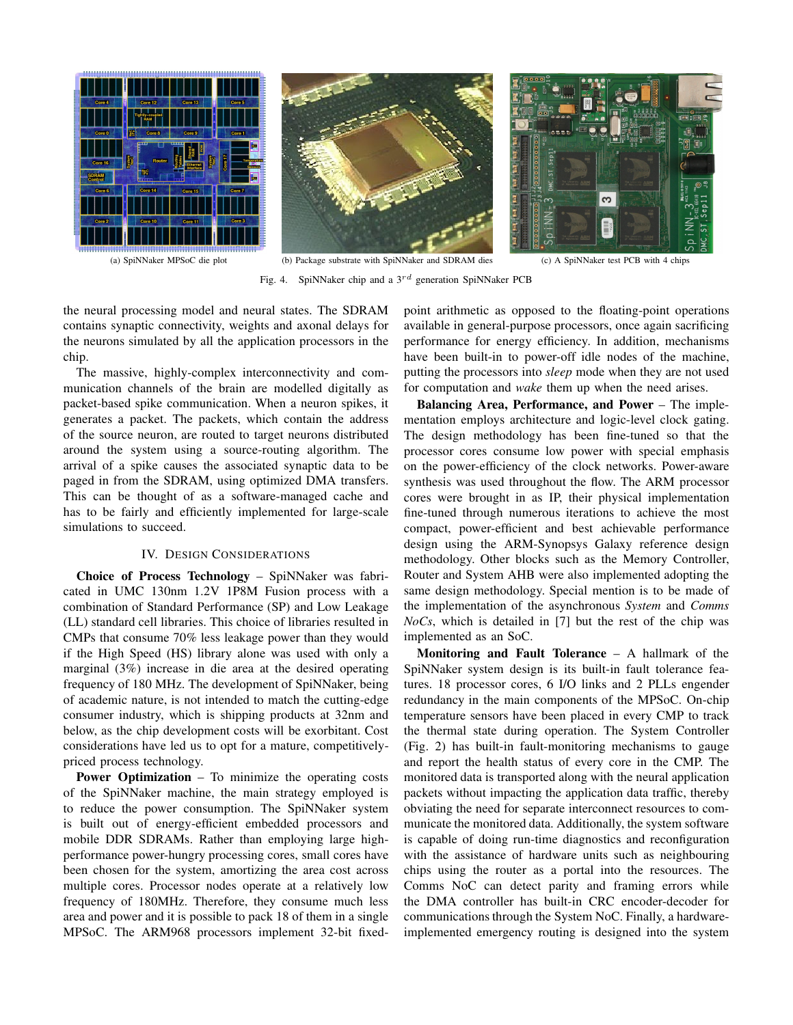



**Ralis Ral** ო

Fig. 4. SpiNNaker chip and a  $3^{rd}$  generation SpiNNaker PCB

the neural processing model and neural states. The SDRAM contains synaptic connectivity, weights and axonal delays for the neurons simulated by all the application processors in the chip.

The massive, highly-complex interconnectivity and communication channels of the brain are modelled digitally as packet-based spike communication. When a neuron spikes, it generates a packet. The packets, which contain the address of the source neuron, are routed to target neurons distributed around the system using a source-routing algorithm. The arrival of a spike causes the associated synaptic data to be paged in from the SDRAM, using optimized DMA transfers. This can be thought of as a software-managed cache and has to be fairly and efficiently implemented for large-scale simulations to succeed.

# IV. DESIGN CONSIDERATIONS

**Choice of Process Technology** – SpiNNaker was fabricated in UMC 130nm 1.2V 1P8M Fusion process with a combination of Standard Performance (SP) and Low Leakage (LL) standard cell libraries. This choice of libraries resulted in CMPs that consume 70% less leakage power than they would if the High Speed (HS) library alone was used with only a marginal (3%) increase in die area at the desired operating frequency of 180 MHz. The development of SpiNNaker, being of academic nature, is not intended to match the cutting-edge consumer industry, which is shipping products at 32nm and below, as the chip development costs will be exorbitant. Cost considerations have led us to opt for a mature, competitivelypriced process technology.

**Power Optimization** – To minimize the operating costs of the SpiNNaker machine, the main strategy employed is to reduce the power consumption. The SpiNNaker system is built out of energy-efficient embedded processors and mobile DDR SDRAMs. Rather than employing large highperformance power-hungry processing cores, small cores have been chosen for the system, amortizing the area cost across multiple cores. Processor nodes operate at a relatively low frequency of 180MHz. Therefore, they consume much less area and power and it is possible to pack 18 of them in a single MPSoC. The ARM968 processors implement 32-bit fixed-

point arithmetic as opposed to the floating-point operations available in general-purpose processors, once again sacrificing performance for energy efficiency. In addition, mechanisms have been built-in to power-off idle nodes of the machine, putting the processors into *sleep* mode when they are not used for computation and *wake* them up when the need arises.

**Balancing Area, Performance, and Power** – The implementation employs architecture and logic-level clock gating. The design methodology has been fine-tuned so that the processor cores consume low power with special emphasis on the power-efficiency of the clock networks. Power-aware synthesis was used throughout the flow. The ARM processor cores were brought in as IP, their physical implementation fine-tuned through numerous iterations to achieve the most compact, power-efficient and best achievable performance design using the ARM-Synopsys Galaxy reference design methodology. Other blocks such as the Memory Controller, Router and System AHB were also implemented adopting the same design methodology. Special mention is to be made of the implementation of the asynchronous *System* and *Comms NoCs*, which is detailed in [7] but the rest of the chip was implemented as an SoC.

**Monitoring and Fault Tolerance** – A hallmark of the SpiNNaker system design is its built-in fault tolerance features. 18 processor cores, 6 I/O links and 2 PLLs engender redundancy in the main components of the MPSoC. On-chip temperature sensors have been placed in every CMP to track the thermal state during operation. The System Controller (Fig. 2) has built-in fault-monitoring mechanisms to gauge and report the health status of every core in the CMP. The monitored data is transported along with the neural application packets without impacting the application data traffic, thereby obviating the need for separate interconnect resources to communicate the monitored data. Additionally, the system software is capable of doing run-time diagnostics and reconfiguration with the assistance of hardware units such as neighbouring chips using the router as a portal into the resources. The Comms NoC can detect parity and framing errors while the DMA controller has built-in CRC encoder-decoder for communications through the System NoC. Finally, a hardwareimplemented emergency routing is designed into the system